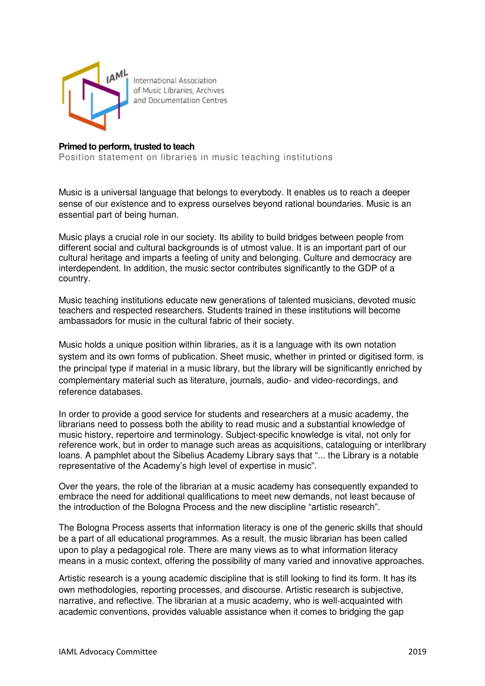

International Association of Music Libraries, Archives and Documentation Centres

## **Primed to perform, trusted to teach**

Position statement on libraries in music teaching institutions

Music is a universal language that belongs to everybody. It enables us to reach a deeper sense of our existence and to express ourselves beyond rational boundaries. Music is an essential part of being human.

Music plays a crucial role in our society. Its ability to build bridges between people from different social and cultural backgrounds is of utmost value. It is an important part of our cultural heritage and imparts a feeling of unity and belonging. Culture and democracy are interdependent. In addition, the music sector contributes significantly to the GDP of a country.

Music teaching institutions educate new generations of talented musicians, devoted music teachers and respected researchers. Students trained in these institutions will become ambassadors for music in the cultural fabric of their society.

Music holds a unique position within libraries, as it is a language with its own notation system and its own forms of publication. Sheet music, whether in printed or digitised form, is the principal type if material in a music library, but the library will be significantly enriched by complementary material such as literature, journals, audio- and video-recordings, and reference databases.

In order to provide a good service for students and researchers at a music academy, the librarians need to possess both the ability to read music and a substantial knowledge of music history, repertoire and terminology. Subject-specific knowledge is vital, not only for reference work, but in order to manage such areas as acquisitions, cataloguing or interlibrary loans. A pamphlet about the Sibelius Academy Library says that "... the Library is a notable representative of the Academy's high level of expertise in music".

Over the years, the role of the librarian at a music academy has consequently expanded to embrace the need for additional qualifications to meet new demands, not least because of the introduction of the Bologna Process and the new discipline "artistic research".

The Bologna Process asserts that information literacy is one of the generic skills that should be a part of all educational programmes. As a result, the music librarian has been called upon to play a pedagogical role. There are many views as to what information literacy means in a music context, offering the possibility of many varied and innovative approaches.

Artistic research is a young academic discipline that is still looking to find its form. It has its own methodologies, reporting processes, and discourse. Artistic research is subjective, narrative, and reflective. The librarian at a music academy, who is well-acquainted with academic conventions, provides valuable assistance when it comes to bridging the gap